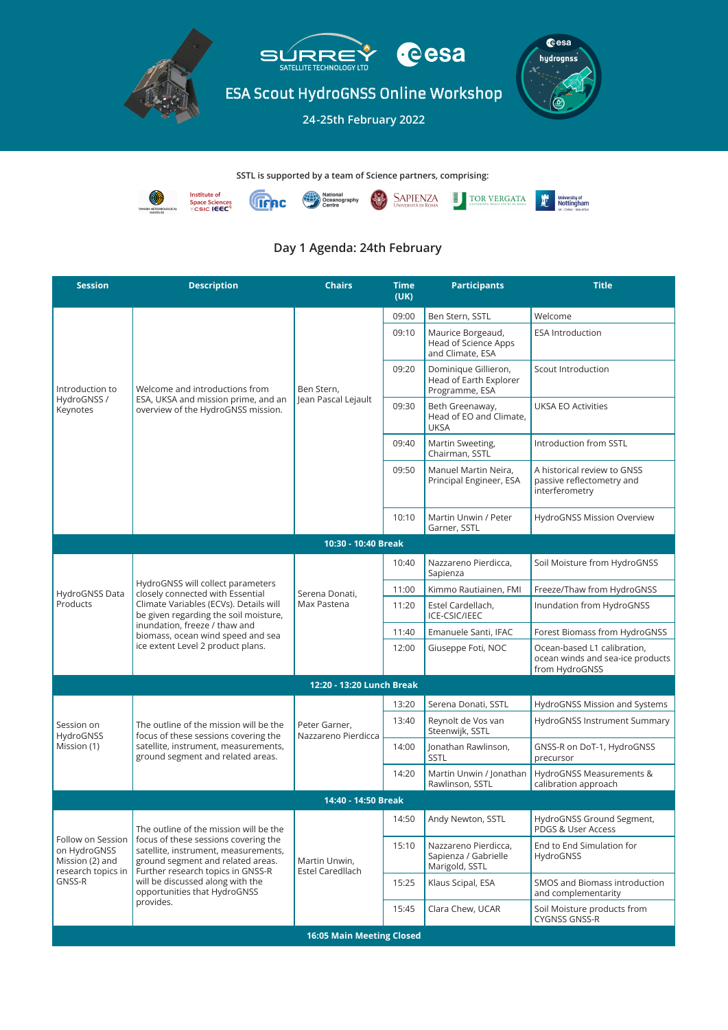## Day 1 Agenda: 24th February



## SSTL is supported by a team of Science partners, comprising:



| <b>Session</b>                                                                       | <b>Description</b>                                                                                                                                                                                                                                                                | <b>Chairs</b>                            | <b>Time</b><br>(UK) | <b>Participants</b>                                              | <b>Title</b>                                                                      |  |  |  |  |
|--------------------------------------------------------------------------------------|-----------------------------------------------------------------------------------------------------------------------------------------------------------------------------------------------------------------------------------------------------------------------------------|------------------------------------------|---------------------|------------------------------------------------------------------|-----------------------------------------------------------------------------------|--|--|--|--|
| Introduction to<br>HydroGNSS /<br>Keynotes                                           | Welcome and introductions from<br>ESA, UKSA and mission prime, and an<br>overview of the HydroGNSS mission.                                                                                                                                                                       | Ben Stern,<br>Jean Pascal Lejault        | 09:00               | Ben Stern, SSTL                                                  | Welcome                                                                           |  |  |  |  |
|                                                                                      |                                                                                                                                                                                                                                                                                   |                                          | 09:10               | Maurice Borgeaud,<br>Head of Science Apps<br>and Climate, ESA    | <b>ESA Introduction</b>                                                           |  |  |  |  |
|                                                                                      |                                                                                                                                                                                                                                                                                   |                                          | 09:20               | Dominique Gillieron,<br>Head of Earth Explorer<br>Programme, ESA | Scout Introduction                                                                |  |  |  |  |
|                                                                                      |                                                                                                                                                                                                                                                                                   |                                          | 09:30               | Beth Greenaway,<br>Head of EO and Climate,<br><b>UKSA</b>        | <b>UKSA EO Activities</b>                                                         |  |  |  |  |
|                                                                                      |                                                                                                                                                                                                                                                                                   |                                          | 09:40               | Martin Sweeting,<br>Chairman, SSTL                               | Introduction from SSTL                                                            |  |  |  |  |
|                                                                                      |                                                                                                                                                                                                                                                                                   |                                          | 09:50               | Manuel Martin Neira,<br>Principal Engineer, ESA                  | A historical review to GNSS<br>passive reflectometry and<br>interferometry        |  |  |  |  |
|                                                                                      |                                                                                                                                                                                                                                                                                   |                                          | 10:10               | Martin Unwin / Peter<br>Garner, SSTL                             | HydroGNSS Mission Overview                                                        |  |  |  |  |
|                                                                                      |                                                                                                                                                                                                                                                                                   | 10:30 - 10:40 Break                      |                     |                                                                  |                                                                                   |  |  |  |  |
| HydroGNSS Data<br>Products                                                           | HydroGNSS will collect parameters<br>closely connected with Essential<br>Climate Variables (ECVs). Details will<br>be given regarding the soil moisture,<br>inundation, freeze / thaw and<br>biomass, ocean wind speed and sea<br>ice extent Level 2 product plans.               | Serena Donati,<br>Max Pastena            | 10:40               | Nazzareno Pierdicca,<br>Sapienza                                 | Soil Moisture from HydroGNSS                                                      |  |  |  |  |
|                                                                                      |                                                                                                                                                                                                                                                                                   |                                          | 11:00               | Kimmo Rautiainen, FMI                                            | Freeze/Thaw from HydroGNSS                                                        |  |  |  |  |
|                                                                                      |                                                                                                                                                                                                                                                                                   |                                          | 11:20               | Estel Cardellach,<br>ICE-CSIC/IEEC                               | Inundation from HydroGNSS                                                         |  |  |  |  |
|                                                                                      |                                                                                                                                                                                                                                                                                   |                                          | 11:40               | Emanuele Santi, IFAC                                             | Forest Biomass from HydroGNSS                                                     |  |  |  |  |
|                                                                                      |                                                                                                                                                                                                                                                                                   |                                          | 12:00               | Giuseppe Foti, NOC                                               | Ocean-based L1 calibration,<br>ocean winds and sea-ice products<br>from HydroGNSS |  |  |  |  |
| 12:20 - 13:20 Lunch Break                                                            |                                                                                                                                                                                                                                                                                   |                                          |                     |                                                                  |                                                                                   |  |  |  |  |
| Session on<br>HydroGNSS<br>Mission (1)                                               | The outline of the mission will be the<br>focus of these sessions covering the<br>satellite, instrument, measurements,<br>ground segment and related areas.                                                                                                                       | Peter Garner,<br>Nazzareno Pierdicca     | 13:20               | Serena Donati, SSTL                                              | HydroGNSS Mission and Systems                                                     |  |  |  |  |
|                                                                                      |                                                                                                                                                                                                                                                                                   |                                          | 13:40               | Reynolt de Vos van<br>Steenwijk, SSTL                            | HydroGNSS Instrument Summary                                                      |  |  |  |  |
|                                                                                      |                                                                                                                                                                                                                                                                                   |                                          | 14:00               | Jonathan Rawlinson,<br><b>SSTL</b>                               | GNSS-R on DoT-1, HydroGNSS<br>precursor                                           |  |  |  |  |
|                                                                                      |                                                                                                                                                                                                                                                                                   |                                          | 14:20               | Martin Unwin / Jonathan<br>Rawlinson, SSTL                       | HydroGNSS Measurements &<br>calibration approach                                  |  |  |  |  |
| 14:40 - 14:50 Break                                                                  |                                                                                                                                                                                                                                                                                   |                                          |                     |                                                                  |                                                                                   |  |  |  |  |
| Follow on Session<br>on HydroGNSS<br>Mission (2) and<br>research topics in<br>GNSS-R | The outline of the mission will be the<br>focus of these sessions covering the<br>satellite, instrument, measurements,<br>ground segment and related areas.<br>Further research topics in GNSS-R<br>will be discussed along with the<br>opportunities that HydroGNSS<br>provides. | Martin Unwin,<br><b>Estel Caredllach</b> | 14:50               | Andy Newton, SSTL                                                | HydroGNSS Ground Segment,<br>PDGS & User Access                                   |  |  |  |  |
|                                                                                      |                                                                                                                                                                                                                                                                                   |                                          | 15:10               | Nazzareno Pierdicca,<br>Sapienza / Gabrielle<br>Marigold, SSTL   | End to End Simulation for<br>HydroGNSS                                            |  |  |  |  |
|                                                                                      |                                                                                                                                                                                                                                                                                   |                                          | 15:25               | Klaus Scipal, ESA                                                | <b>SMOS and Biomass introduction</b><br>and complementarity                       |  |  |  |  |
|                                                                                      |                                                                                                                                                                                                                                                                                   |                                          | 15:45               | Clara Chew, UCAR                                                 | Soil Moisture products from<br><b>CYGNSS GNSS-R</b>                               |  |  |  |  |
| <b>16:05 Main Meeting Closed</b>                                                     |                                                                                                                                                                                                                                                                                   |                                          |                     |                                                                  |                                                                                   |  |  |  |  |